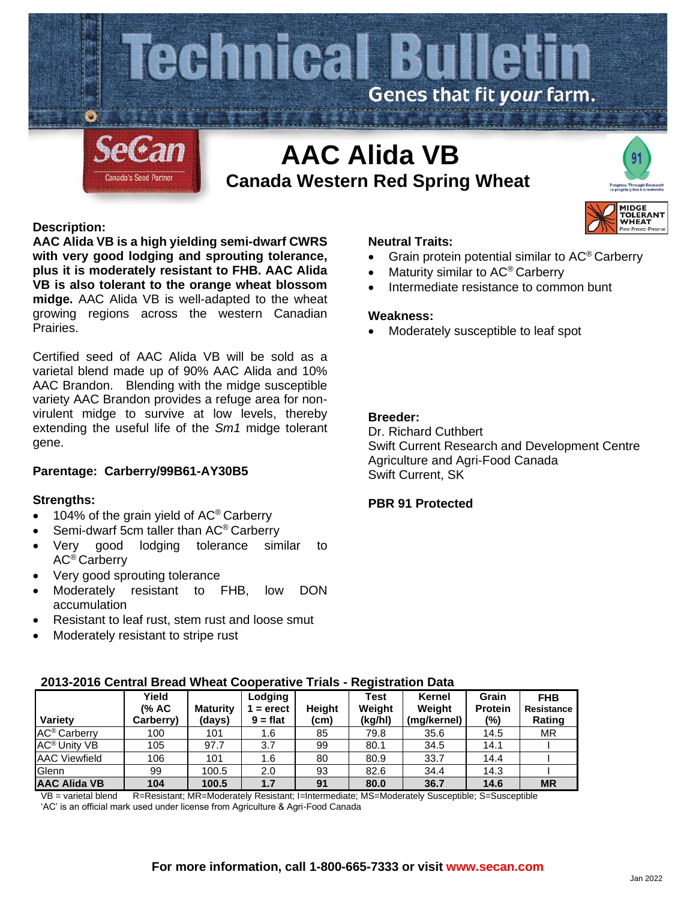

# **Description:**

**AAC Alida VB is a high yielding semi-dwarf CWRS with very good lodging and sprouting tolerance, plus it is moderately resistant to FHB. AAC Alida VB is also tolerant to the orange wheat blossom midge.** AAC Alida VB is well-adapted to the wheat growing regions across the western Canadian Prairies.

Certified seed of AAC Alida VB will be sold as a varietal blend made up of 90% AAC Alida and 10% AAC Brandon. Blending with the midge susceptible variety AAC Brandon provides a refuge area for nonvirulent midge to survive at low levels, thereby extending the useful life of the *Sm1* midge tolerant gene.

# **Parentage: Carberry/99B61-AY30B5**

### **Strengths:**

- 104% of the grain yield of AC<sup>®</sup> Carberry
- Semi-dwarf 5cm taller than AC<sup>®</sup> Carberry
- Very good lodging tolerance similar to AC® Carberry
- Very good sprouting tolerance
- Moderately resistant to FHB, low DON accumulation
- Resistant to leaf rust, stem rust and loose smut
- Moderately resistant to stripe rust

### **Neutral Traits:**

• Grain protein potential similar to AC® Carberry

**MIDGE TOI FRAN HEAT** 

- Maturity similar to AC® Carberry
- Intermediate resistance to common bunt

#### **Weakness:**

• Moderately susceptible to leaf spot

# **Breeder:**

Dr. Richard Cuthbert Swift Current Research and Development Centre Agriculture and Agri-Food Canada Swift Current, SK

#### **PBR 91 Protected**

| Variety                        | Yield<br>(% AC<br>Carberry) | <b>Maturity</b><br>(days) | Lodging<br>$=$ erect<br>$9 = flat$ | Height<br>(cm) | Test<br>Weight<br>(kg/hl) | Kernel<br>Weight<br>(mg/kernel) | Grain<br><b>Protein</b><br>$(\% )$ | <b>FHB</b><br><b>Resistance</b><br>Rating |
|--------------------------------|-----------------------------|---------------------------|------------------------------------|----------------|---------------------------|---------------------------------|------------------------------------|-------------------------------------------|
| AC <sup>®</sup> Carberry       | 100                         | 101                       | 1.6                                | 85             | 79.8                      | 35.6                            | 14.5                               | <b>MR</b>                                 |
| <b>AC<sup>®</sup> Unity VB</b> | 105                         | 97.7                      | 3.7                                | 99             | 80.1                      | 34.5                            | 14.1                               |                                           |
| <b>AAC Viewfield</b>           | 106                         | 101                       | 1.6                                | 80             | 80.9                      | 33.7                            | 14.4                               |                                           |
| Glenn                          | 99                          | 100.5                     | 2.0                                | 93             | 82.6                      | 34.4                            | 14.3                               |                                           |
| <b>AAC Alida VB</b>            | 104                         | 100.5                     | 1.7                                | 91             | 80.0                      | 36.7                            | 14.6                               | <b>MR</b>                                 |

# **2013-2016 Central Bread Wheat Cooperative Trials - Registration Data**

VB = varietal blend R=Resistant; MR=Moderately Resistant; I=Intermediate; MS=Moderately Susceptible; S=Susceptible 'AC' is an official mark used under license from Agriculture & Agri-Food Canada